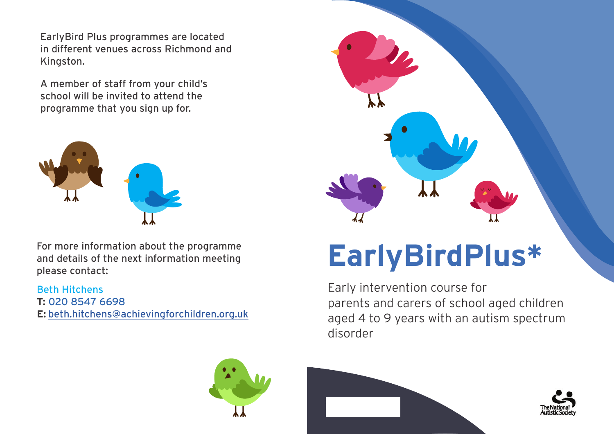EarlyBird Plus programmes are located in different venues across Richmond and Kingston.

A member of staff from your child's school will be invited to attend the programme that you sign up for.



For more information about the programme and details of the next information meeting please contact:

## Beth Hitchens

**T:** 020 8547 6698 **E:** [beth.hitchens@achievingforchildren.org.uk](mailto:beth.hitchens%40achievingforchildren.org.uk?subject=)



## **EarlyBirdPlus\***

Early intervention course for parents and carers of school aged children aged 4 to 9 years with an autism spectrum disorder